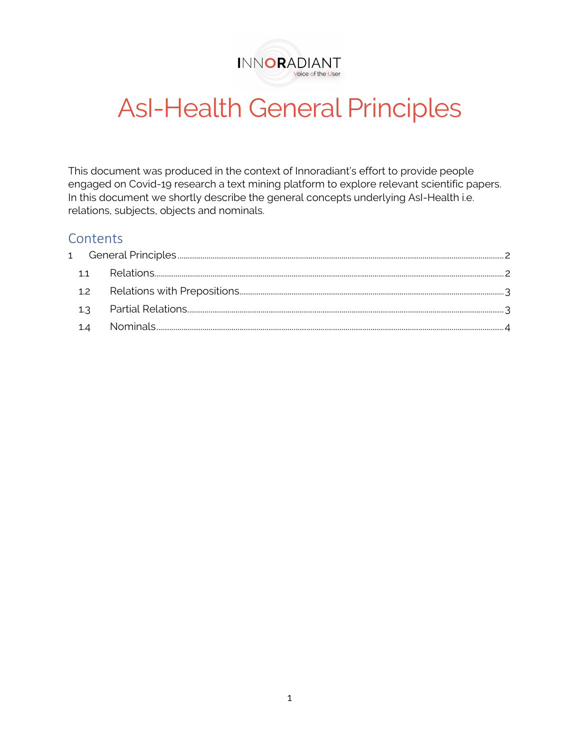

# AsI-Health General Principles

This document was produced in the context of Innoradiant's effort to provide people engaged on Covid-19 research a text mining platform to explore relevant scientific papers. In this document we shortly describe the general concepts underlying AsI-Health i.e. relations, subjects, objects and nominals.

# **Contents**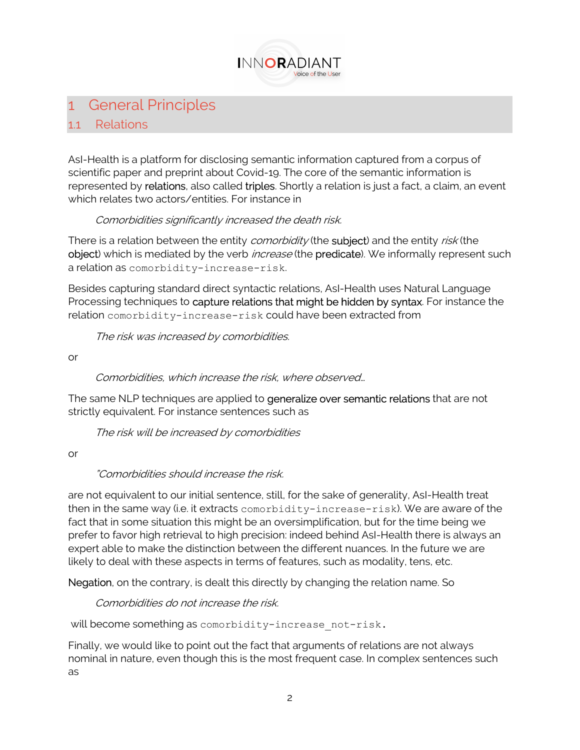

# 1 General Principles

#### 1.1 Relations

AsI-Health is a platform for disclosing semantic information captured from a corpus of scientific paper and preprint about Covid-19. The core of the semantic information is represented by relations, also called triples. Shortly a relation is just a fact, a claim, an event which relates two actors/entities. For instance in

#### Comorbidities significantly increased the death risk.

There is a relation between the entity *comorbidity* (the **subject**) and the entity *risk* (the object) which is mediated by the verb *increase* (the predicate). We informally represent such a relation as comorbidity-increase-risk.

Besides capturing standard direct syntactic relations, AsI-Health uses Natural Language Processing techniques to capture relations that might be hidden by syntax. For instance the relation comorbidity-increase-risk could have been extracted from

The risk was increased by comorbidities.

or

Comorbidities, which increase the risk, where observed…

The same NLP techniques are applied to generalize over semantic relations that are not strictly equivalent. For instance sentences such as

The risk will be increased by comorbidities

or

## "Comorbidities should increase the risk.

are not equivalent to our initial sentence, still, for the sake of generality, AsI-Health treat then in the same way (i.e. it extracts comorbidity-increase-risk). We are aware of the fact that in some situation this might be an oversimplification, but for the time being we prefer to favor high retrieval to high precision: indeed behind AsI-Health there is always an expert able to make the distinction between the different nuances. In the future we are likely to deal with these aspects in terms of features, such as modality, tens, etc.

Negation, on the contrary, is dealt this directly by changing the relation name. So

Comorbidities do not increase the risk.

will become something as comorbidity-increase not-risk.

Finally, we would like to point out the fact that arguments of relations are not always nominal in nature, even though this is the most frequent case. In complex sentences such as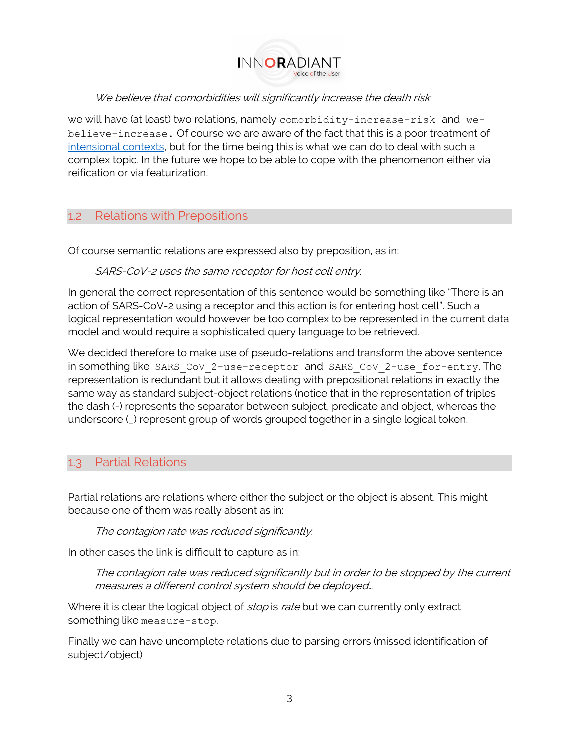

#### We believe that comorbidities will significantly increase the death risk

we will have (at least) two relations, namely comorbidity-increase-risk and webelieve-increase. Of course we are aware of the fact that this is a poor treatment of intensional contexts, but for the time being this is what we can do to deal with such a complex topic. In the future we hope to be able to cope with the phenomenon either via reification or via featurization.

## 1.2 Relations with Prepositions

Of course semantic relations are expressed also by preposition, as in:

#### SARS-CoV-2 uses the same receptor for host cell entry.

In general the correct representation of this sentence would be something like "There is an action of SARS-CoV-2 using a receptor and this action is for entering host cell". Such a logical representation would however be too complex to be represented in the current data model and would require a sophisticated query language to be retrieved.

We decided therefore to make use of pseudo-relations and transform the above sentence in something like SARS CoV 2-use-receptor and SARS CoV 2-use for-entry. The representation is redundant but it allows dealing with prepositional relations in exactly the same way as standard subject-object relations (notice that in the representation of triples the dash (-) represents the separator between subject, predicate and object, whereas the underscore (\_) represent group of words grouped together in a single logical token.

## 1.3 Partial Relations

Partial relations are relations where either the subject or the object is absent. This might because one of them was really absent as in:

The contagion rate was reduced significantly.

In other cases the link is difficult to capture as in:

The contagion rate was reduced significantly but in order to be stopped by the current measures a different control system should be deployed…

Where it is clear the logical object of *stop* is rate but we can currently only extract something like measure-stop.

Finally we can have uncomplete relations due to parsing errors (missed identification of subject/object)